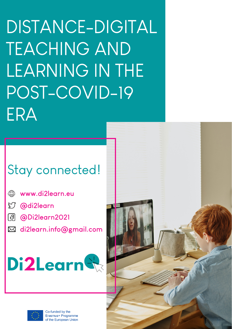DISTANCE-DIGITAL TEACHING AND LEARNING IN THE POST-COVID-19 ERA

# Stay connected!

- $\mathbb{A}$ **[www.di2learn.eu](https://di2learn.eu/)**
- **[@di2learn](https://twitter.com/di2learn)**
- **[@Di2learn2021](https://www.facebook.com/Di2learn2021)**
- **[di2learn](https://twitter.com/di2learn).info@gmail.com**





Co-funded by the Erasmus+ Programme of the European Union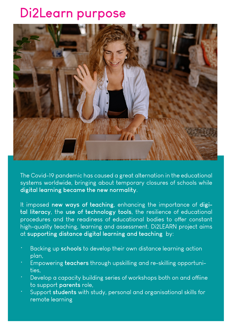# **Di2Learn purpose**



The Covid-19 pandemic has caused a great alternation in the educational systems worldwide, bringing about temporary closures of schools while **digital learning became the new normality**.

It imposed **new ways of teaching**, enhancing the importance of **digital literacy**, the **use of technology tools**, the resilience of educational procedures and the readiness of educational bodies to offer constant high-quality teaching, learning and assessment. Di2LEARN project aims at **supporting distance digital learning and teaching** by:

- Backing up **schools** to develop their own distance learning action plan,
- Empowering **teachers** through upskilling and re-skilling opportunities,
- Develop a capacity building series of workshops both on and offiine to support **parents** role,
- Support **students** with study, personal and organisational skills for remote learning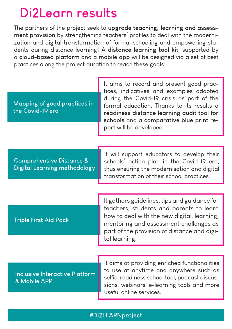### **Di2Learn results**

The partners of the project seek to **upgrade teaching, learning and assessment provision** by strengthening teachers' profiles to deal with the modernization and digital transformation of formal schooling and empowering students during distance learning! A **distance learning tool kit**, supported by a **cloud-based platform** and a **mobile app** will be designed via a set of best practices along the project duration to reach these goals!

#### **Mapping of good practices in the Covid-19 era**

It aims to record and present good practices, indicatives and examples adopted during the Covid-19 crisis as part of the formal education. Thanks to its results a **readiness distance learning audit tool for schools** and a **comparative blue print report** will be developed.

**Comprehensive Distance & Digital Learning methodology**

It will support educators to develop their schools' action plan in the Covid-19 era, thus ensuring the modernisation and digital transformation of their school practices.

#### **Triple First Aid Pack**

It gathers guidelines, tips and guidance for teachers, students and parents to learn how to deal with the new digital, learning, mentoring and assessment challenges as part of the provision of distance and digital learning.

#### **Inclusive Interactive Platform & Mobile APP**

It aims at providing enriched functionalities to use at anytime and anywhere such as selfie-readiness school tool, podcast discussions, webinars, e-learning tools and more useful online services.

### **#Di2LEARNproject**